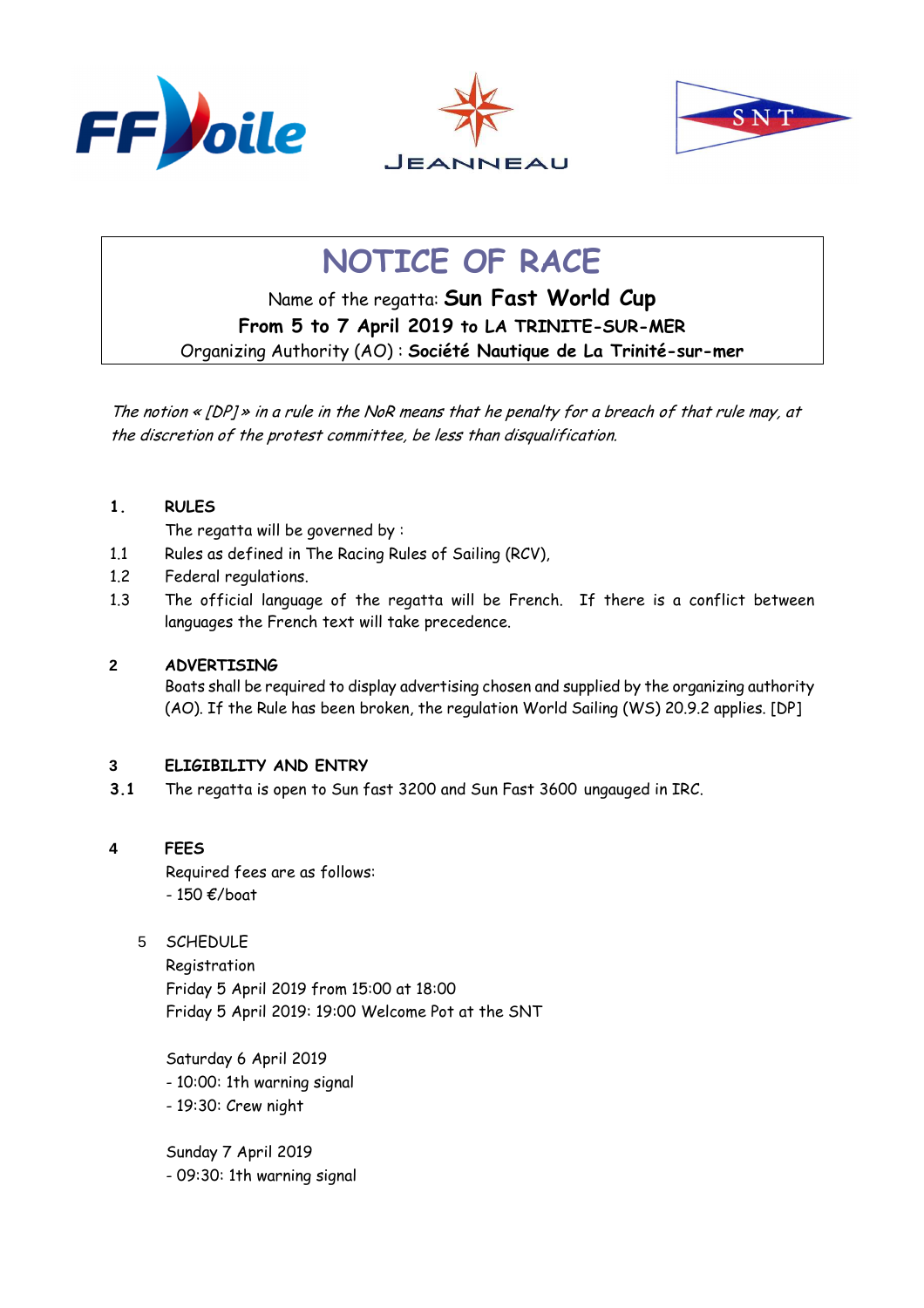





# **NOTICE OF RACE**

Name of the regatta: **Sun Fast World Cup From 5 to 7 April 2019 to LA TRINITE-SUR-MER**  Organizing Authority (AO) : **Société Nautique de La Trinité-sur-mer**

The notion « [DP] » in a rule in the NoR means that he penalty for a breach of that rule may, at the discretion of the protest committee, be less than disqualification.

## **1. RULES**

The regatta will be governed by :

- 1.1 Rules as defined in The Racing Rules of Sailing (RCV),
- 1.2 Federal regulations.
- 1.3 The official language of the regatta will be French. If there is a conflict between languages the French text will take precedence.

## **2 ADVERTISING**

Boats shall be required to display advertising chosen and supplied by the organizing authority (AO). If the Rule has been broken, the regulation World Sailing (WS) 20.9.2 applies. [DP]

## **3 ELIGIBILITY AND ENTRY**

**3.1** The regatta is open to Sun fast 3200 and Sun Fast 3600 ungauged in IRC.

## **4 FEES**

Required fees are as follows:  $-150$   $\epsilon$ /boat

5 SCHEDULE

Registration Friday 5 April 2019 from 15:00 at 18:00 Friday 5 April 2019: 19:00 Welcome Pot at the SNT

Saturday 6 April 2019 - 10:00: 1th warning signal - 19:30: Crew night

Sunday 7 April 2019 - 09:30: 1th warning signal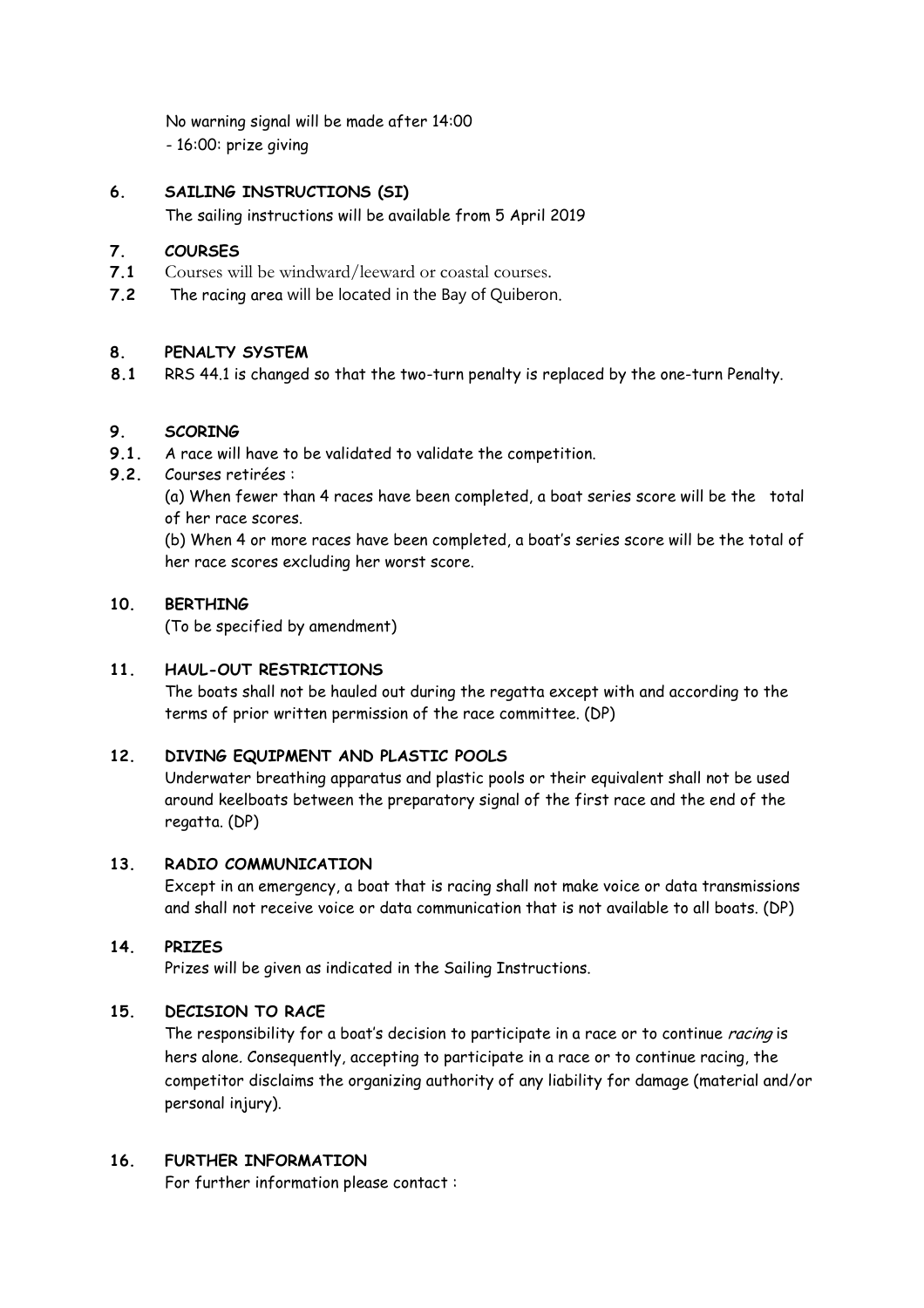No warning signal will be made after 14:00 - 16:00: prize giving

## **6. SAILING INSTRUCTIONS (SI)**

The sailing instructions will be available from 5 April 2019

## **7. COURSES**

- **7.1** Courses will be windward/leeward or coastal courses.
- **7.2** The racing area will be located in the Bay of Quiberon.

## **8. PENALTY SYSTEM**

**8.1** RRS 44.1 is changed so that the two-turn penalty is replaced by the one-turn Penalty.

## **9. SCORING**

- **9.1.** A race will have to be validated to validate the competition.
- **9.2.** Courses retirées :

 (a) When fewer than 4 races have been completed, a boat series score will be the total of her race scores.

 (b) When 4 or more races have been completed, a boat's series score will be the total of her race scores excluding her worst score.

## **10. BERTHING**

(To be specified by amendment)

## **11. HAUL-OUT RESTRICTIONS**

 The boats shall not be hauled out during the regatta except with and according to the terms of prior written permission of the race committee. (DP)

## **12. DIVING EQUIPMENT AND PLASTIC POOLS**

 Underwater breathing apparatus and plastic pools or their equivalent shall not be used around keelboats between the preparatory signal of the first race and the end of the regatta. (DP)

## **13. RADIO COMMUNICATION**

 Except in an emergency, a boat that is racing shall not make voice or data transmissions and shall not receive voice or data communication that is not available to all boats. (DP)

## **14. PRIZES**

Prizes will be given as indicated in the Sailing Instructions.

## **15. DECISION TO RACE**

The responsibility for a boat's decision to participate in a race or to continue *racing* is hers alone. Consequently, accepting to participate in a race or to continue racing, the competitor disclaims the organizing authority of any liability for damage (material and/or personal injury).

## **16. FURTHER INFORMATION**

For further information please contact :